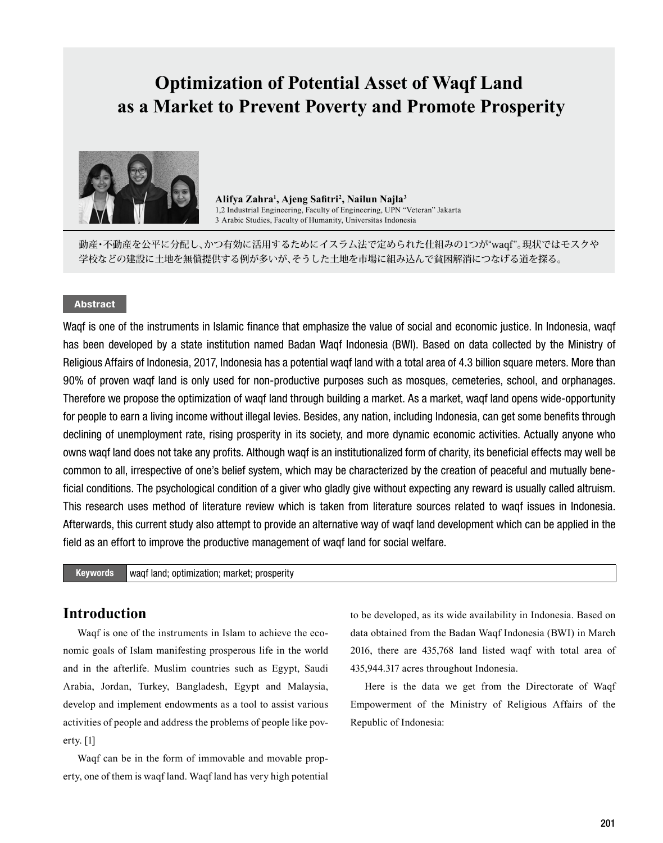# **Optimization of Potential Asset of Waqf Land as a Market to Prevent Poverty and Promote Prosperity**



**Alifya Zahra<sup>1</sup> , Ajeng Safitri<sup>2</sup> , Nailun Najla<sup>3</sup>** 1,2 Industrial Engineering, Faculty of Engineering, UPN "Veteran" Jakarta 3 Arabic Studies, Faculty of Humanity, Universitas Indonesia

動産・不動産を公平に分配し、かつ有効に活用するためにイスラム法で定められた仕組みの1つが"waqf"。現状ではモスクや 学校などの建設に土地を無償提供する例が多いが、そうした土地を市場に組み込んで貧困解消につなげる道を探る。

### Abstract

Waqf is one of the instruments in Islamic finance that emphasize the value of social and economic justice. In Indonesia, waqf has been developed by a state institution named Badan Waqf Indonesia (BWI). Based on data collected by the Ministry of Religious Affairs of Indonesia, 2017, Indonesia has a potential waqf land with a total area of 4.3 billion square meters. More than 90% of proven waqf land is only used for non-productive purposes such as mosques, cemeteries, school, and orphanages. Therefore we propose the optimization of waqf land through building a market. As a market, waqf land opens wide-opportunity for people to earn a living income without illegal levies. Besides, any nation, including Indonesia, can get some benefits through declining of unemployment rate, rising prosperity in its society, and more dynamic economic activities. Actually anyone who owns waqf land does not take any profits. Although waqf is an institutionalized form of charity, its beneficial effects may well be common to all, irrespective of one's belief system, which may be characterized by the creation of peaceful and mutually beneficial conditions. The psychological condition of a giver who gladly give without expecting any reward is usually called altruism. This research uses method of literature review which is taken from literature sources related to waqf issues in Indonesia. Afterwards, this current study also attempt to provide an alternative way of waqf land development which can be applied in the field as an effort to improve the productive management of waqf land for social welfare.

Keywords waqf land; optimization; market; prosperity

# **Introduction**

Waqf is one of the instruments in Islam to achieve the economic goals of Islam manifesting prosperous life in the world and in the afterlife. Muslim countries such as Egypt, Saudi Arabia, Jordan, Turkey, Bangladesh, Egypt and Malaysia, develop and implement endowments as a tool to assist various activities of people and address the problems of people like poverty. [1]

Waqf can be in the form of immovable and movable property, one of them is waqf land. Waqf land has very high potential to be developed, as its wide availability in Indonesia. Based on data obtained from the Badan Waqf Indonesia (BWI) in March 2016, there are 435,768 land listed waqf with total area of 435,944.317 acres throughout Indonesia.

Here is the data we get from the Directorate of Waqf Empowerment of the Ministry of Religious Affairs of the Republic of Indonesia: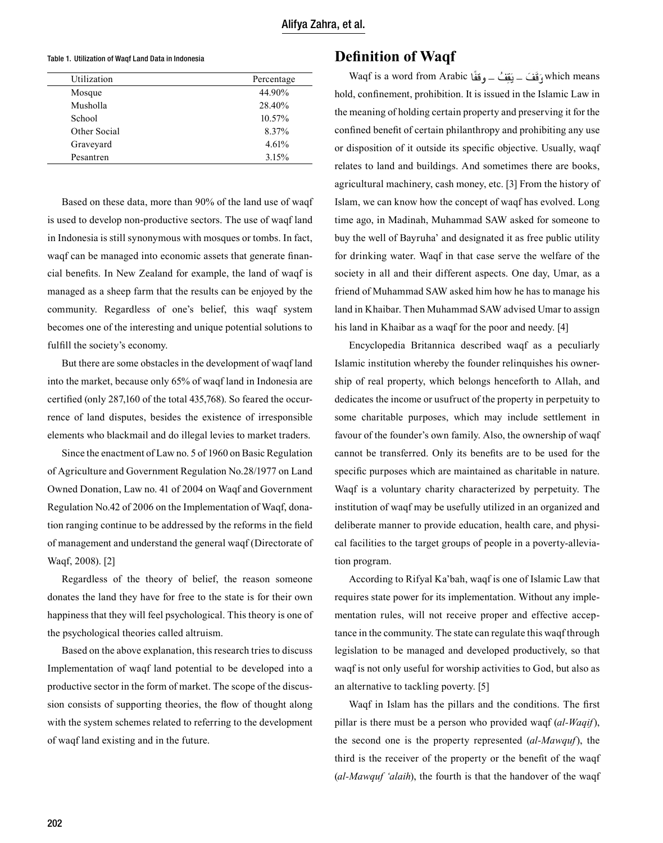#### Table 1. Utilization of Waqf Land Data in Indonesia

| Utilization  | Percentage |
|--------------|------------|
| Mosque       | 44.90%     |
| Musholla     | 28.40%     |
| School       | 10.57%     |
| Other Social | 8.37%      |
| Graveyard    | 4.61%      |
| Pesantren    | 3.15%      |

Based on these data, more than 90% of the land use of waqf is used to develop non-productive sectors. The use of waqf land in Indonesia is still synonymous with mosques or tombs. In fact, waqf can be managed into economic assets that generate financial benefits. In New Zealand for example, the land of waqf is managed as a sheep farm that the results can be enjoyed by the community. Regardless of one's belief, this waqf system becomes one of the interesting and unique potential solutions to fulfill the society's economy.

But there are some obstacles in the development of waqf land into the market, because only 65% of waqf land in Indonesia are certified (only 287,160 of the total 435,768). So feared the occurrence of land disputes, besides the existence of irresponsible elements who blackmail and do illegal levies to market traders.

Since the enactment of Law no. 5 of 1960 on Basic Regulation of Agriculture and Government Regulation No.28/1977 on Land Owned Donation, Law no. 41 of 2004 on Waqf and Government Regulation No.42 of 2006 on the Implementation of Waqf, donation ranging continue to be addressed by the reforms in the field of management and understand the general waqf (Directorate of Waqf, 2008). [2]

Regardless of the theory of belief, the reason someone donates the land they have for free to the state is for their own happiness that they will feel psychological. This theory is one of the psychological theories called altruism.

Based on the above explanation, this research tries to discuss Implementation of waqf land potential to be developed into a productive sector in the form of market. The scope of the discussion consists of supporting theories, the flow of thought along with the system schemes related to referring to the development of waqf land existing and in the future.

# **Definition of Waqf**

Waqf is a word from Arabic وَقَفَ – بَقَفْ – وقفًا  $\frac{1}{2}$ و قَفَ – بَقَفْ  $\frac{1}{2}$ hold, confinement, prohibition. It is issued in the Islamic Law in the meaning of holding certain property and preserving it for the confined benefit of certain philanthropy and prohibiting any use or disposition of it outside its specific objective. Usually, waqf relates to land and buildings. And sometimes there are books, agricultural machinery, cash money, etc. [3] From the history of Islam, we can know how the concept of waqf has evolved. Long time ago, in Madinah, Muhammad SAW asked for someone to buy the well of Bayruha' and designated it as free public utility for drinking water. Waqf in that case serve the welfare of the society in all and their different aspects. One day, Umar, as a friend of Muhammad SAW asked him how he has to manage his land in Khaibar. Then Muhammad SAW advised Umar to assign his land in Khaibar as a waqf for the poor and needy. [4]

Encyclopedia Britannica described waqf as a peculiarly Islamic institution whereby the founder relinquishes his ownership of real property, which belongs henceforth to Allah, and dedicates the income or usufruct of the property in perpetuity to some charitable purposes, which may include settlement in favour of the founder's own family. Also, the ownership of waqf cannot be transferred. Only its benefits are to be used for the specific purposes which are maintained as charitable in nature. Waqf is a voluntary charity characterized by perpetuity. The institution of waqf may be usefully utilized in an organized and deliberate manner to provide education, health care, and physical facilities to the target groups of people in a poverty-alleviation program.

According to Rifyal Ka'bah, waqf is one of Islamic Law that requires state power for its implementation. Without any implementation rules, will not receive proper and effective acceptance in the community. The state can regulate this waqf through legislation to be managed and developed productively, so that waqf is not only useful for worship activities to God, but also as an alternative to tackling poverty. [5]

Waqf in Islam has the pillars and the conditions. The first pillar is there must be a person who provided waqf (*al-Waqif*), the second one is the property represented (*al-Mawquf*), the third is the receiver of the property or the benefit of the waqf (*al-Mawquf 'alaih*), the fourth is that the handover of the waqf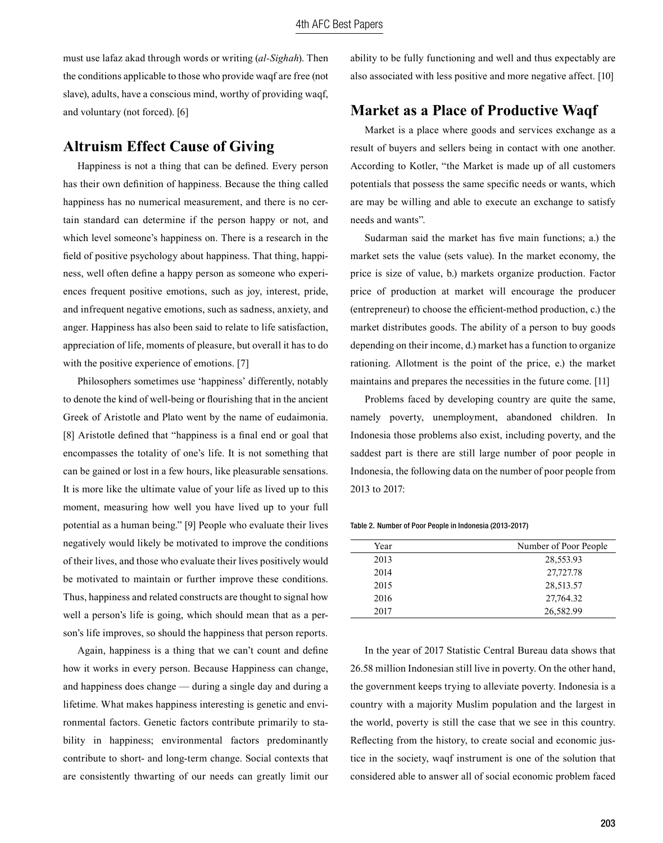must use lafaz akad through words or writing (*al-Sighah*). Then the conditions applicable to those who provide waqf are free (not slave), adults, have a conscious mind, worthy of providing waqf, and voluntary (not forced). [6]

# **Altruism Effect Cause of Giving**

Happiness is not a thing that can be defined. Every person has their own definition of happiness. Because the thing called happiness has no numerical measurement, and there is no certain standard can determine if the person happy or not, and which level someone's happiness on. There is a research in the field of positive psychology about happiness. That thing, happiness, well often define a happy person as someone who experiences frequent positive emotions, such as joy, interest, pride, and infrequent negative emotions, such as sadness, anxiety, and anger. Happiness has also been said to relate to life satisfaction, appreciation of life, moments of pleasure, but overall it has to do with the positive experience of emotions. [7]

Philosophers sometimes use 'happiness' differently, notably to denote the kind of well-being or flourishing that in the ancient Greek of Aristotle and Plato went by the name of eudaimonia. [8] Aristotle defined that "happiness is a final end or goal that encompasses the totality of one's life. It is not something that can be gained or lost in a few hours, like pleasurable sensations. It is more like the ultimate value of your life as lived up to this moment, measuring how well you have lived up to your full potential as a human being." [9] People who evaluate their lives negatively would likely be motivated to improve the conditions of their lives, and those who evaluate their lives positively would be motivated to maintain or further improve these conditions. Thus, happiness and related constructs are thought to signal how well a person's life is going, which should mean that as a person's life improves, so should the happiness that person reports.

Again, happiness is a thing that we can't count and define how it works in every person. Because Happiness can change, and happiness does change — during a single day and during a lifetime. What makes happiness interesting is genetic and environmental factors. Genetic factors contribute primarily to stability in happiness; environmental factors predominantly contribute to short- and long-term change. Social contexts that are consistently thwarting of our needs can greatly limit our ability to be fully functioning and well and thus expectably are also associated with less positive and more negative affect. [10]

# **Market as a Place of Productive Waqf**

Market is a place where goods and services exchange as a result of buyers and sellers being in contact with one another. According to Kotler, "the Market is made up of all customers potentials that possess the same specific needs or wants, which are may be willing and able to execute an exchange to satisfy needs and wants".

Sudarman said the market has five main functions; a.) the market sets the value (sets value). In the market economy, the price is size of value, b.) markets organize production. Factor price of production at market will encourage the producer (entrepreneur) to choose the efficient-method production, c.) the market distributes goods. The ability of a person to buy goods depending on their income, d.) market has a function to organize rationing. Allotment is the point of the price, e.) the market maintains and prepares the necessities in the future come. [11]

Problems faced by developing country are quite the same, namely poverty, unemployment, abandoned children. In Indonesia those problems also exist, including poverty, and the saddest part is there are still large number of poor people in Indonesia, the following data on the number of poor people from 2013 to 2017:

Table 2. Number of Poor People in Indonesia (2013-2017)

| Year | Number of Poor People |
|------|-----------------------|
| 2013 | 28,553.93             |
| 2014 | 27,727.78             |
| 2015 | 28,513.57             |
| 2016 | 27,764.32             |
| 2017 | 26,582.99             |

In the year of 2017 Statistic Central Bureau data shows that 26.58 million Indonesian still live in poverty. On the other hand, the government keeps trying to alleviate poverty. Indonesia is a country with a majority Muslim population and the largest in the world, poverty is still the case that we see in this country. Reflecting from the history, to create social and economic justice in the society, waqf instrument is one of the solution that considered able to answer all of social economic problem faced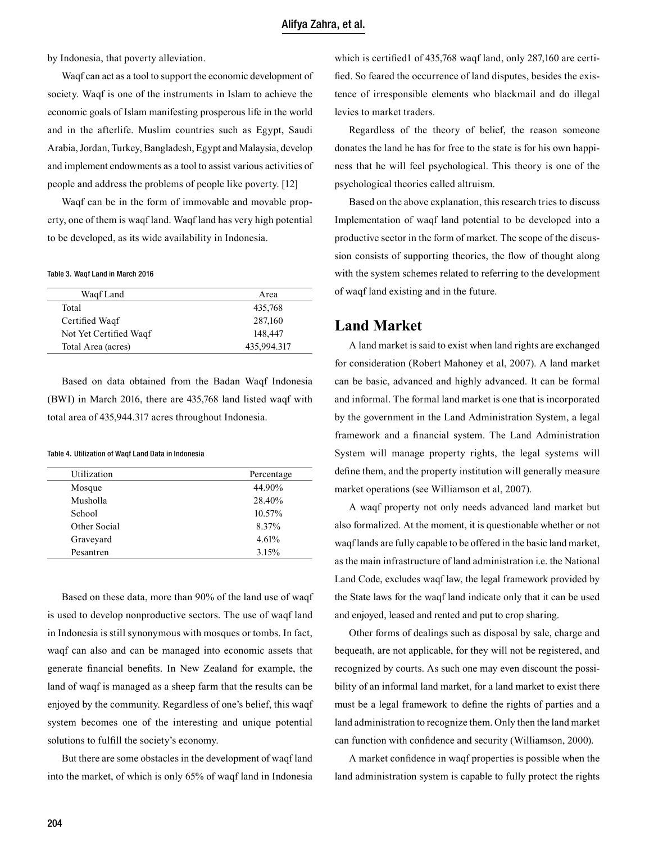by Indonesia, that poverty alleviation.

Waqf can act as a tool to support the economic development of society. Waqf is one of the instruments in Islam to achieve the economic goals of Islam manifesting prosperous life in the world and in the afterlife. Muslim countries such as Egypt, Saudi Arabia, Jordan, Turkey, Bangladesh, Egypt and Malaysia, develop and implement endowments as a tool to assist various activities of people and address the problems of people like poverty. [12]

Waqf can be in the form of immovable and movable property, one of them is waqf land. Waqf land has very high potential to be developed, as its wide availability in Indonesia.

#### Table 3. Waqf Land in March 2016

| Area        |
|-------------|
| 435,768     |
| 287,160     |
| 148,447     |
| 435,994.317 |
|             |

Based on data obtained from the Badan Waqf Indonesia (BWI) in March 2016, there are 435,768 land listed waqf with total area of 435,944.317 acres throughout Indonesia.

#### Table 4. Utilization of Waqf Land Data in Indonesia

| Utilization  | Percentage |
|--------------|------------|
| Mosque       | 44.90%     |
| Musholla     | 28.40%     |
| School       | 10.57%     |
| Other Social | 8.37%      |
| Graveyard    | 4.61%      |
| Pesantren    | 3.15%      |

Based on these data, more than 90% of the land use of waqf is used to develop nonproductive sectors. The use of waqf land in Indonesia is still synonymous with mosques or tombs. In fact, waqf can also and can be managed into economic assets that generate financial benefits. In New Zealand for example, the land of waqf is managed as a sheep farm that the results can be enjoyed by the community. Regardless of one's belief, this waqf system becomes one of the interesting and unique potential solutions to fulfill the society's economy.

But there are some obstacles in the development of waqf land into the market, of which is only 65% of waqf land in Indonesia

which is certified1 of 435,768 waqf land, only 287,160 are certified. So feared the occurrence of land disputes, besides the existence of irresponsible elements who blackmail and do illegal levies to market traders.

Regardless of the theory of belief, the reason someone donates the land he has for free to the state is for his own happiness that he will feel psychological. This theory is one of the psychological theories called altruism.

Based on the above explanation, this research tries to discuss Implementation of waqf land potential to be developed into a productive sector in the form of market. The scope of the discussion consists of supporting theories, the flow of thought along with the system schemes related to referring to the development of waqf land existing and in the future.

### **Land Market**

A land market is said to exist when land rights are exchanged for consideration (Robert Mahoney et al, 2007). A land market can be basic, advanced and highly advanced. It can be formal and informal. The formal land market is one that is incorporated by the government in the Land Administration System, a legal framework and a financial system. The Land Administration System will manage property rights, the legal systems will define them, and the property institution will generally measure market operations (see Williamson et al, 2007).

A waqf property not only needs advanced land market but also formalized. At the moment, it is questionable whether or not waqf lands are fully capable to be offered in the basic land market, as the main infrastructure of land administration i.e. the National Land Code, excludes waqf law, the legal framework provided by the State laws for the waqf land indicate only that it can be used and enjoyed, leased and rented and put to crop sharing.

Other forms of dealings such as disposal by sale, charge and bequeath, are not applicable, for they will not be registered, and recognized by courts. As such one may even discount the possibility of an informal land market, for a land market to exist there must be a legal framework to define the rights of parties and a land administration to recognize them. Only then the land market can function with confidence and security (Williamson, 2000).

A market confidence in waqf properties is possible when the land administration system is capable to fully protect the rights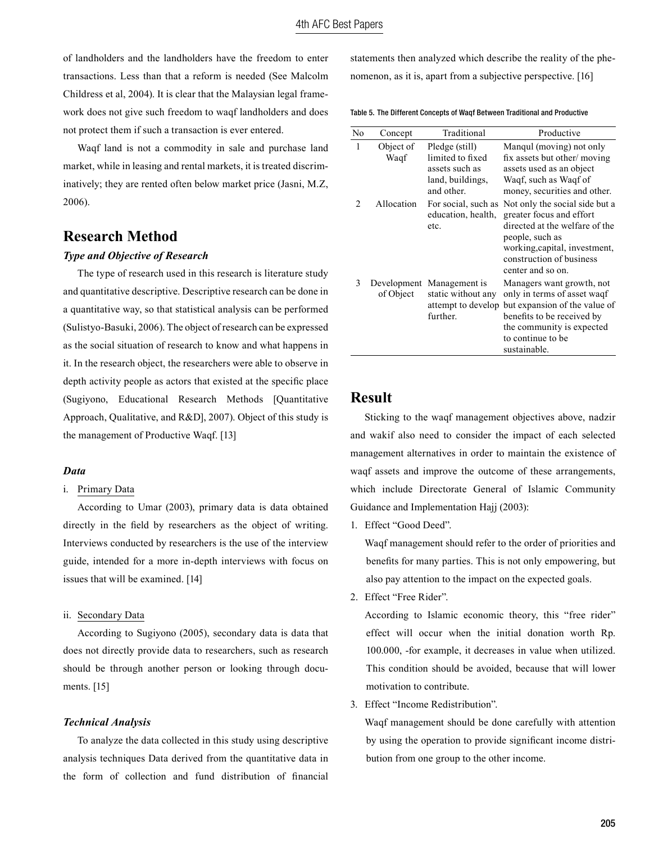of landholders and the landholders have the freedom to enter transactions. Less than that a reform is needed (See Malcolm Childress et al, 2004). It is clear that the Malaysian legal framework does not give such freedom to waqf landholders and does not protect them if such a transaction is ever entered.

Waqf land is not a commodity in sale and purchase land market, while in leasing and rental markets, it is treated discriminatively; they are rented often below market price (Jasni, M.Z, 2006).

### **Research Method**

#### *Type and Objective of Research*

The type of research used in this research is literature study and quantitative descriptive. Descriptive research can be done in a quantitative way, so that statistical analysis can be performed (Sulistyo-Basuki, 2006). The object of research can be expressed as the social situation of research to know and what happens in it. In the research object, the researchers were able to observe in depth activity people as actors that existed at the specific place (Sugiyono, Educational Research Methods [Quantitative Approach, Qualitative, and R&D], 2007). Object of this study is the management of Productive Waqf. [13]

### *Data*

#### i. Primary Data

According to Umar (2003), primary data is data obtained directly in the field by researchers as the object of writing. Interviews conducted by researchers is the use of the interview guide, intended for a more in-depth interviews with focus on issues that will be examined. [14]

#### ii. Secondary Data

According to Sugiyono (2005), secondary data is data that does not directly provide data to researchers, such as research should be through another person or looking through documents. [15]

#### *Technical Analysis*

To analyze the data collected in this study using descriptive analysis techniques Data derived from the quantitative data in the form of collection and fund distribution of financial

statements then analyzed which describe the reality of the phenomenon, as it is, apart from a subjective perspective. [16]

Table 5. The Different Concepts of Waqf Between Traditional and Productive

| No             | Concept           | Traditional                                                                            | Productive                                                                                                                                                                                        |
|----------------|-------------------|----------------------------------------------------------------------------------------|---------------------------------------------------------------------------------------------------------------------------------------------------------------------------------------------------|
| 1              | Object of<br>Waqf | Pledge (still)<br>limited to fixed<br>assets such as<br>land, buildings,<br>and other. | Mangul (moving) not only<br>fix assets but other/moving<br>assets used as an object<br>Waqf, such as Waqf of<br>money, securities and other.                                                      |
| $\mathfrak{D}$ | Allocation        | For social, such as<br>education, health,<br>etc.                                      | Not only the social side but a<br>greater focus and effort<br>directed at the welfare of the<br>people, such as<br>working, capital, investment,<br>construction of business<br>center and so on. |
| 3              | of Object         | Development Management is<br>static without any<br>attempt to develop<br>further.      | Managers want growth, not<br>only in terms of asset waqf<br>but expansion of the value of<br>benefits to be received by<br>the community is expected<br>to continue to be<br>sustainable.         |

### **Result**

Sticking to the waqf management objectives above, nadzir and wakif also need to consider the impact of each selected management alternatives in order to maintain the existence of waqf assets and improve the outcome of these arrangements, which include Directorate General of Islamic Community Guidance and Implementation Hajj (2003):

1. Effect "Good Deed".

Waqf management should refer to the order of priorities and benefits for many parties. This is not only empowering, but also pay attention to the impact on the expected goals.

2. Effect "Free Rider".

According to Islamic economic theory, this "free rider" effect will occur when the initial donation worth Rp. 100.000, -for example, it decreases in value when utilized. This condition should be avoided, because that will lower motivation to contribute.

3. Effect "Income Redistribution".

Waqf management should be done carefully with attention by using the operation to provide significant income distribution from one group to the other income.